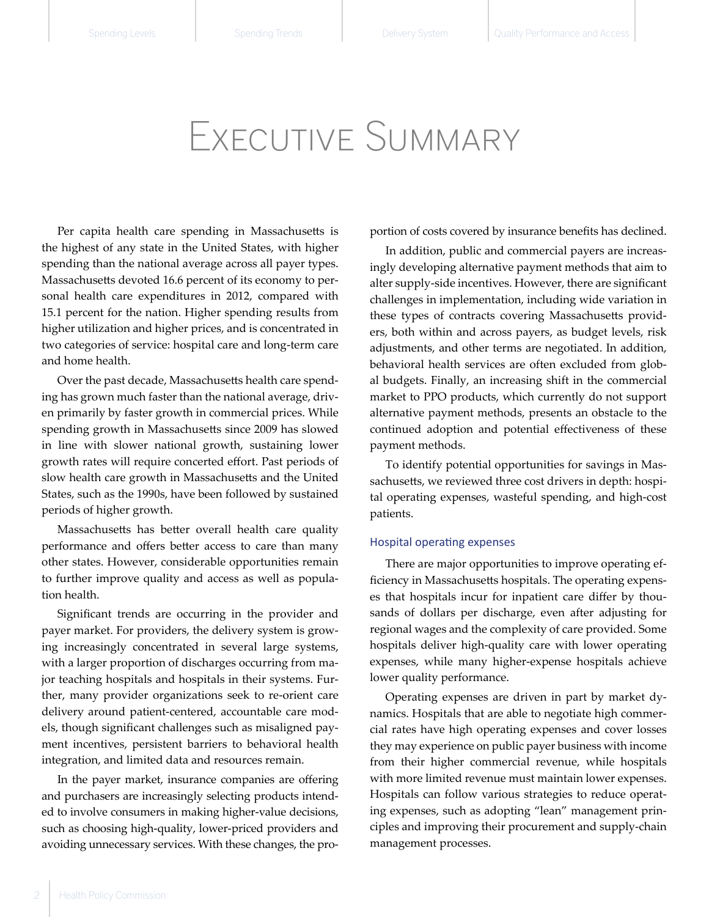# Executive Summary

Per capita health care spending in Massachusetts is the highest of any state in the United States, with higher spending than the national average across all payer types. Massachusetts devoted 16.6 percent of its economy to personal health care expenditures in 2012, compared with 15.1 percent for the nation. Higher spending results from higher utilization and higher prices, and is concentrated in two categories of service: hospital care and long-term care and home health.

Over the past decade, Massachusetts health care spending has grown much faster than the national average, driven primarily by faster growth in commercial prices. While spending growth in Massachusetts since 2009 has slowed in line with slower national growth, sustaining lower growth rates will require concerted effort. Past periods of slow health care growth in Massachusetts and the United States, such as the 1990s, have been followed by sustained periods of higher growth.

Massachusetts has better overall health care quality performance and offers better access to care than many other states. However, considerable opportunities remain to further improve quality and access as well as population health.

Significant trends are occurring in the provider and payer market. For providers, the delivery system is growing increasingly concentrated in several large systems, with a larger proportion of discharges occurring from major teaching hospitals and hospitals in their systems. Further, many provider organizations seek to re-orient care delivery around patient-centered, accountable care models, though significant challenges such as misaligned payment incentives, persistent barriers to behavioral health integration, and limited data and resources remain.

In the payer market, insurance companies are offering and purchasers are increasingly selecting products intended to involve consumers in making higher-value decisions, such as choosing high-quality, lower-priced providers and avoiding unnecessary services. With these changes, the proportion of costs covered by insurance benefits has declined.

In addition, public and commercial payers are increasingly developing alternative payment methods that aim to alter supply-side incentives. However, there are significant challenges in implementation, including wide variation in these types of contracts covering Massachusetts providers, both within and across payers, as budget levels, risk adjustments, and other terms are negotiated. In addition, behavioral health services are often excluded from global budgets. Finally, an increasing shift in the commercial market to PPO products, which currently do not support alternative payment methods, presents an obstacle to the continued adoption and potential effectiveness of these payment methods.

To identify potential opportunities for savings in Massachusetts, we reviewed three cost drivers in depth: hospital operating expenses, wasteful spending, and high-cost patients.

#### Hospital operating expenses

There are major opportunities to improve operating efficiency in Massachusetts hospitals. The operating expenses that hospitals incur for inpatient care differ by thousands of dollars per discharge, even after adjusting for regional wages and the complexity of care provided. Some hospitals deliver high-quality care with lower operating expenses, while many higher-expense hospitals achieve lower quality performance.

Operating expenses are driven in part by market dynamics. Hospitals that are able to negotiate high commercial rates have high operating expenses and cover losses they may experience on public payer business with income from their higher commercial revenue, while hospitals with more limited revenue must maintain lower expenses. Hospitals can follow various strategies to reduce operating expenses, such as adopting "lean" management principles and improving their procurement and supply-chain management processes.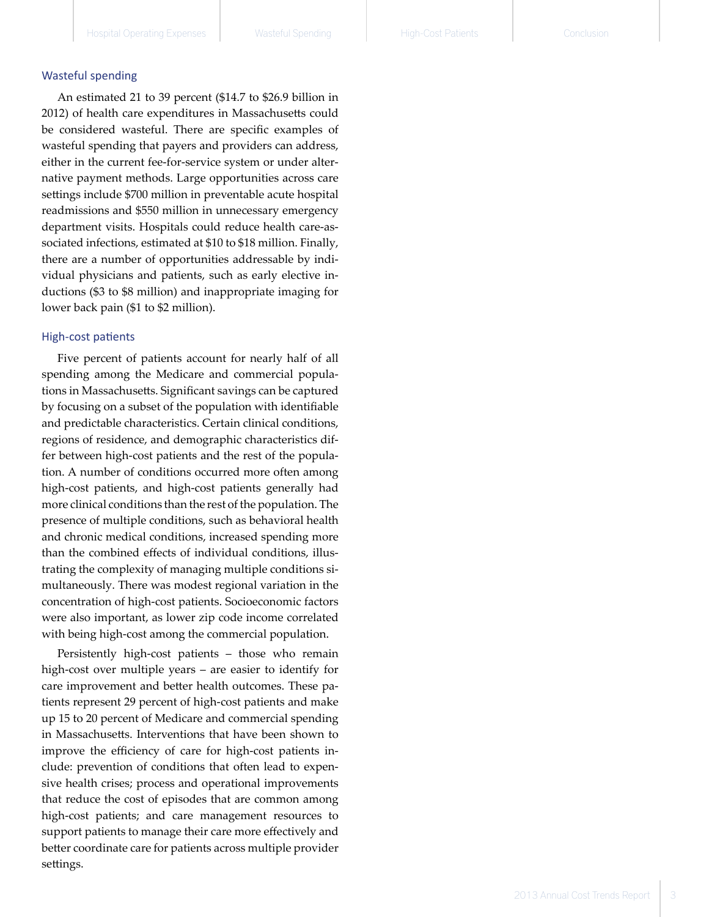#### Wasteful spending

An estimated 21 to 39 percent (\$14.7 to \$26.9 billion in 2012) of health care expenditures in Massachusetts could be considered wasteful. There are specific examples of wasteful spending that payers and providers can address, either in the current fee-for-service system or under alter native payment methods. Large opportunities across care settings include \$700 million in preventable acute hospital readmissions and \$550 million in unnecessary emergency department visits. Hospitals could reduce health care-as sociated infections, estimated at \$10 to \$18 million. Finally, there are a number of opportunities addressable by indi vidual physicians and patients, such as early elective in ductions (\$3 to \$8 million) and inappropriate imaging for lower back pain (\$1 to \$2 million).

#### High-cost patients

Five percent of patients account for nearly half of all spending among the Medicare and commercial popula tions in Massachusetts. Significant savings can be captured by focusing on a subset of the population with identifiable and predictable characteristics. Certain clinical conditions, regions of residence, and demographic characteristics dif fer between high-cost patients and the rest of the popula tion. A number of conditions occurred more often among high-cost patients, and high-cost patients generally had more clinical conditions than the rest of the population. The presence of multiple conditions, such as behavioral health and chronic medical conditions, increased spending more than the combined effects of individual conditions, illus trating the complexity of managing multiple conditions si multaneously. There was modest regional variation in the concentration of high-cost patients. Socioeconomic factors were also important, as lower zip code income correlated with being high-cost among the commercial population.

Persistently high-cost patients – those who remain high-cost over multiple years – are easier to identify for care improvement and better health outcomes. These pa tients represent 29 percent of high-cost patients and make up 15 to 20 percent of Medicare and commercial spending in Massachusetts. Interventions that have been shown to improve the efficiency of care for high-cost patients in clude: prevention of conditions that often lead to expen sive health crises; process and operational improvements that reduce the cost of episodes that are common among high-cost patients; and care management resources to support patients to manage their care more effectively and better coordinate care for patients across multiple provider settings.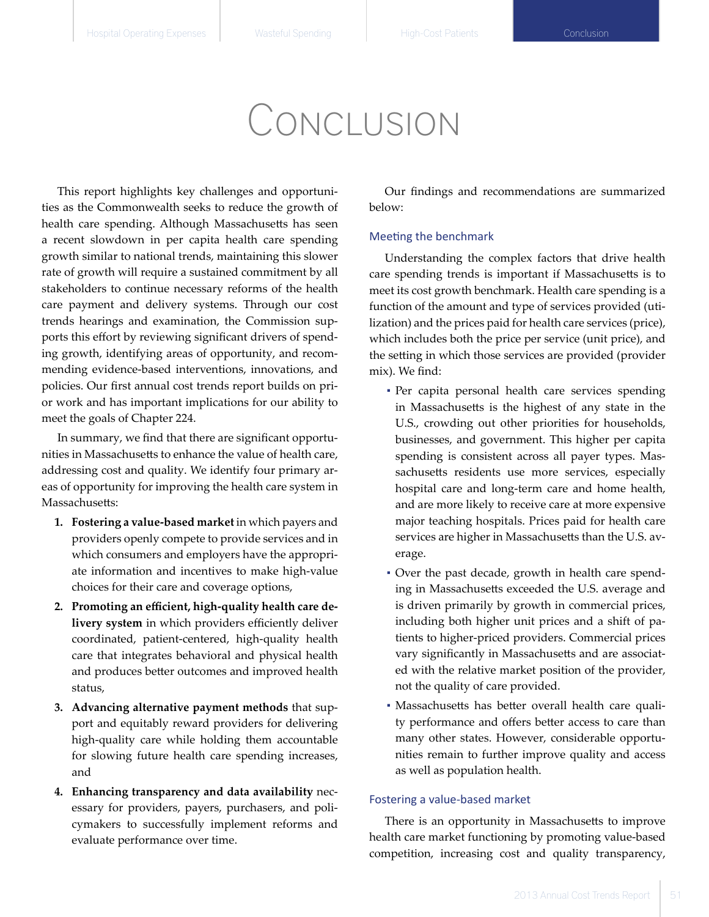# Conclusion

This report highlights key challenges and opportunities as the Commonwealth seeks to reduce the growth of health care spending. Although Massachusetts has seen a recent slowdown in per capita health care spending growth similar to national trends, maintaining this slower rate of growth will require a sustained commitment by all stakeholders to continue necessary reforms of the health care payment and delivery systems. Through our cost trends hearings and examination, the Commission supports this effort by reviewing significant drivers of spending growth, identifying areas of opportunity, and recommending evidence-based interventions, innovations, and policies. Our first annual cost trends report builds on prior work and has important implications for our ability to meet the goals of Chapter 224.

In summary, we find that there are significant opportunities in Massachusetts to enhance the value of health care, addressing cost and quality. We identify four primary areas of opportunity for improving the health care system in Massachusetts:

- **1. Fostering a value-based market** in which payers and providers openly compete to provide services and in which consumers and employers have the appropriate information and incentives to make high-value choices for their care and coverage options,
- **2. Promoting an efficient, high-quality health care delivery system** in which providers efficiently deliver coordinated, patient-centered, high-quality health care that integrates behavioral and physical health and produces better outcomes and improved health status,
- **3. Advancing alternative payment methods** that support and equitably reward providers for delivering high-quality care while holding them accountable for slowing future health care spending increases, and
- **4. Enhancing transparency and data availability** necessary for providers, payers, purchasers, and policymakers to successfully implement reforms and evaluate performance over time.

Our findings and recommendations are summarized below:

### Meeting the benchmark

Understanding the complex factors that drive health care spending trends is important if Massachusetts is to meet its cost growth benchmark. Health care spending is a function of the amount and type of services provided (utilization) and the prices paid for health care services (price), which includes both the price per service (unit price), and the setting in which those services are provided (provider mix). We find:

- Per capita personal health care services spending in Massachusetts is the highest of any state in the U.S., crowding out other priorities for households, businesses, and government. This higher per capita spending is consistent across all payer types. Massachusetts residents use more services, especially hospital care and long-term care and home health, and are more likely to receive care at more expensive major teaching hospitals. Prices paid for health care services are higher in Massachusetts than the U.S. average.
- Over the past decade, growth in health care spending in Massachusetts exceeded the U.S. average and is driven primarily by growth in commercial prices, including both higher unit prices and a shift of patients to higher-priced providers. Commercial prices vary significantly in Massachusetts and are associated with the relative market position of the provider, not the quality of care provided.
- Massachusetts has better overall health care quality performance and offers better access to care than many other states. However, considerable opportunities remain to further improve quality and access as well as population health.

#### Fostering a value-based market

There is an opportunity in Massachusetts to improve health care market functioning by promoting value-based competition, increasing cost and quality transparency,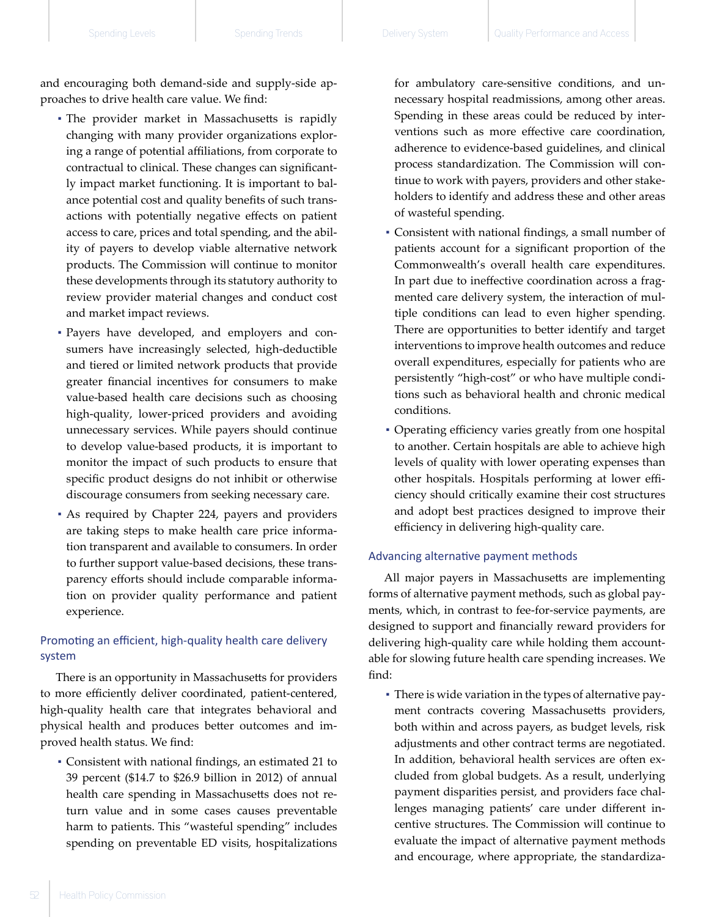and encouraging both demand-side and supply-side approaches to drive health care value. We find:

- The provider market in Massachusetts is rapidly changing with many provider organizations exploring a range of potential affiliations, from corporate to contractual to clinical. These changes can significantly impact market functioning. It is important to balance potential cost and quality benefits of such transactions with potentially negative effects on patient access to care, prices and total spending, and the ability of payers to develop viable alternative network products. The Commission will continue to monitor these developments through its statutory authority to review provider material changes and conduct cost and market impact reviews.
- Payers have developed, and employers and consumers have increasingly selected, high-deductible and tiered or limited network products that provide greater financial incentives for consumers to make value-based health care decisions such as choosing high-quality, lower-priced providers and avoiding unnecessary services. While payers should continue to develop value-based products, it is important to monitor the impact of such products to ensure that specific product designs do not inhibit or otherwise discourage consumers from seeking necessary care.
- As required by Chapter 224, payers and providers are taking steps to make health care price information transparent and available to consumers. In order to further support value-based decisions, these transparency efforts should include comparable information on provider quality performance and patient experience.

## Promoting an efficient, high-quality health care delivery system

There is an opportunity in Massachusetts for providers to more efficiently deliver coordinated, patient-centered, high-quality health care that integrates behavioral and physical health and produces better outcomes and improved health status. We find:

▪ Consistent with national findings, an estimated 21 to 39 percent (\$14.7 to \$26.9 billion in 2012) of annual health care spending in Massachusetts does not return value and in some cases causes preventable harm to patients. This "wasteful spending" includes spending on preventable ED visits, hospitalizations

for ambulatory care-sensitive conditions, and unnecessary hospital readmissions, among other areas. Spending in these areas could be reduced by interventions such as more effective care coordination, adherence to evidence-based guidelines, and clinical process standardization. The Commission will continue to work with payers, providers and other stakeholders to identify and address these and other areas of wasteful spending.

- Consistent with national findings, a small number of patients account for a significant proportion of the Commonwealth's overall health care expenditures. In part due to ineffective coordination across a fragmented care delivery system, the interaction of multiple conditions can lead to even higher spending. There are opportunities to better identify and target interventions to improve health outcomes and reduce overall expenditures, especially for patients who are persistently "high-cost" or who have multiple conditions such as behavioral health and chronic medical conditions.
- Operating efficiency varies greatly from one hospital to another. Certain hospitals are able to achieve high levels of quality with lower operating expenses than other hospitals. Hospitals performing at lower efficiency should critically examine their cost structures and adopt best practices designed to improve their efficiency in delivering high-quality care.

#### Advancing alternative payment methods

All major payers in Massachusetts are implementing forms of alternative payment methods, such as global payments, which, in contrast to fee-for-service payments, are designed to support and financially reward providers for delivering high-quality care while holding them accountable for slowing future health care spending increases. We find:

▪ There is wide variation in the types of alternative payment contracts covering Massachusetts providers, both within and across payers, as budget levels, risk adjustments and other contract terms are negotiated. In addition, behavioral health services are often excluded from global budgets. As a result, underlying payment disparities persist, and providers face challenges managing patients' care under different incentive structures. The Commission will continue to evaluate the impact of alternative payment methods and encourage, where appropriate, the standardiza-